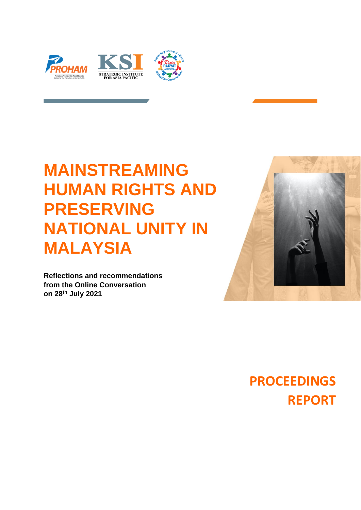

# **MAINSTREAMING HUMAN RIGHTS AND PRESERVING NATIONAL UNITY IN MALAYSIA**

**Reflections and recommendations from the Online Conversation on 28th July 2021**



**PROCEEDINGS REPORT**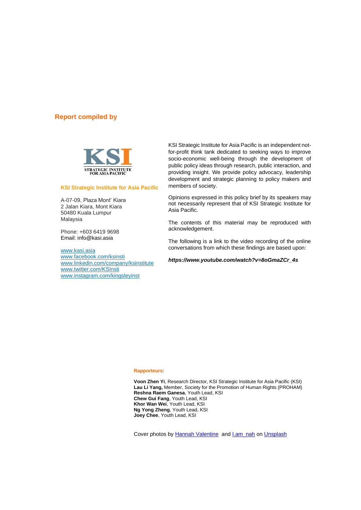## **Report compiled by**



#### **KSI Strategic Institute for Asia Pacific**

A-07-09, Plaza Mont' Kiara 2 Jalan Kiara, Mont Kiara 50480 Kuala Lumpur Malaysia

Phone: +603 6419 9698 Email: info@kasi.asia

[www.kasi.asia](file:///C:/Users/Kenny/AppData/Roaming/Microsoft/Word/www.kasi.asia) [www.facebook.com/ksinsti](http://www.facebook.com/ksinsti) [www.linkedin.com/company/ksinstitute](http://www.linkedin.com/company/ksinstitute) [www.twitter.com/KSInsti](http://www.twitter.com/KSInsti) [www.instagram.com/kingsleyinst](http://www.instagram.com/kingsleyinst)

KSI Strategic Institute for Asia Pacific is an independent notfor-profit think tank dedicated to seeking ways to improve socio-economic well-being through the development of public policy ideas through research, public interaction, and providing insight. We provide policy advocacy, leadership development and strategic planning to policy makers and members of society.

Opinions expressed in this policy brief by its speakers may not necessarily represent that of KSI Strategic Institute for Asia Pacific.

The contents of this material may be reproduced with acknowledgement.

The following is a link to the video recording of the online conversations from which these findings are based upon:

*[https://www.youtube.com/watch?v=8oGmaZCr\\_4s](https://www.youtube.com/watch?v=8oGmaZCr_4s)*

#### **Rapporteurs**:

**Voon Zhen Yi**, Research Director, KSI Strategic Institute for Asia Pacific (KSI) Lau Li Yang, Member, Society for the Promotion of Human Rights (PROHAM) **Reshna Raem Ganesa**, Youth Lead, KSI **Chew Gui Fang**, Youth Lead, KSI **Khor Wan Wei**, Youth Lead, KSI **Ng Yong Zheng**, Youth Lead, KSI **Joey Chee**, Youth Lead, KSI

Cover photos by [Hannah Valentine](https://unsplash.com/@havalentine16?utm_source=unsplash&utm_medium=referral&utm_content=creditCopyText) and Lam\_nah o[n Unsplash](https://unsplash.com/s/photos/unity?utm_source=unsplash&utm_medium=referral&utm_content=creditCopyText)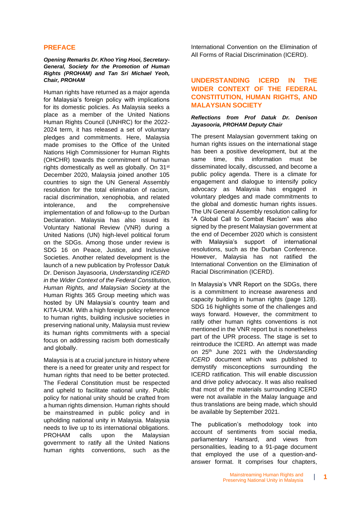## **PREFACE**

#### *Opening Remarks Dr. Khoo Ying Hooi, Secretary-General, Society for the Promotion of Human Rights (PROHAM) and Tan Sri Michael Yeoh, Chair, PROHAM*

Human rights have returned as a major agenda for Malaysia's foreign policy with implications for its domestic policies. As Malaysia seeks a place as a member of the United Nations Human Rights Council (UNHRC) for the 2022- 2024 term, it has released a set of voluntary pledges and commitments. Here, Malaysia made promises to the Office of the United Nations High Commissioner for Human Rights (OHCHR) towards the commitment of human rights domestically as well as globally. On 31<sup>st</sup> December 2020, Malaysia joined another 105 countries to sign the UN General Assembly resolution for the total elimination of racism, racial discrimination, xenophobia, and related intolerance, and the comprehensive implementation of and follow-up to the Durban Declaration. Malaysia has also issued its Voluntary National Review (VNR) during a United Nations (UN) high-level political forum on the SDGs. Among those under review is SDG 16 on Peace, Justice, and Inclusive Societies. Another related development is the launch of a new publication by Professor Datuk Dr. Denison Jayasooria, *Understanding ICERD in the Wider Context of the Federal Constitution, Human Rights, and Malaysian Society* at the Human Rights 365 Group meeting which was hosted by UN Malaysia's country team and KITA-UKM. With a high foreign policy reference to human rights, building inclusive societies in preserving national unity, Malaysia must review its human rights commitments with a special focus on addressing racism both domestically and globally.

Malaysia is at a crucial juncture in history where there is a need for greater unity and respect for human rights that need to be better protected. The Federal Constitution must be respected and upheld to facilitate national unity. Public policy for national unity should be crafted from a human rights dimension. Human rights should be mainstreamed in public policy and in upholding national unity in Malaysia. Malaysia needs to live up to its international obligations. PROHAM calls upon the Malaysian government to ratify all the United Nations human rights conventions, such as the

International Convention on the Elimination of All Forms of Racial Discrimination (ICERD).

## **UNDERSTANDING ICERD IN THE WIDER CONTEXT OF THE FEDERAL CONSTITUTION, HUMAN RIGHTS, AND MALAYSIAN SOCIETY**

## *Reflections from Prof Datuk Dr. Denison Jayasooria, PROHAM Deputy Chair*

The present Malaysian government taking on human rights issues on the international stage has been a positive development, but at the same time, this information must be disseminated locally, discussed, and become a public policy agenda. There is a climate for engagement and dialogue to intensify policy advocacy as Malaysia has engaged in voluntary pledges and made commitments to the global and domestic human rights issues. The UN General Assembly resolution calling for "A Global Call to Combat Racism" was also signed by the present Malaysian government at the end of December 2020 which is consistent with Malaysia's support of international resolutions, such as the Durban Conference. However, Malaysia has not ratified the International Convention on the Elimination of Racial Discrimination (ICERD).

In Malaysia's VNR Report on the SDGs, there is a commitment to increase awareness and capacity building in human rights (page 128). SDG 16 highlights some of the challenges and ways forward. However, the commitment to ratify other human rights conventions is not mentioned in the VNR report but is nonetheless part of the UPR process. The stage is set to reintroduce the ICERD. An attempt was made on 25th June 2021 with the *Understanding ICERD* document which was published to demystify misconceptions surrounding the ICERD ratification. This will enable discussion and drive policy advocacy. It was also realised that most of the materials surrounding ICERD were not available in the Malay language and thus translations are being made, which should be available by September 2021.

The publication's methodology took into account of sentiments from social media, parliamentary Hansard, and views from personalities, leading to a 91-page document that employed the use of a question-andanswer format. It comprises four chapters,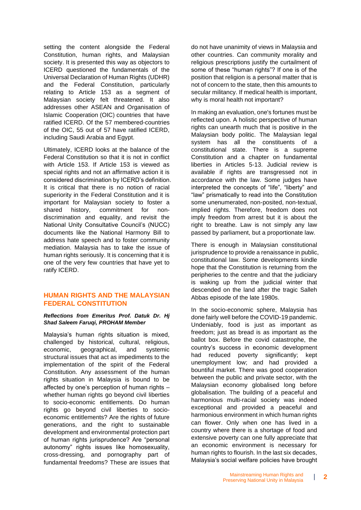setting the content alongside the Federal Constitution, human rights, and Malaysian society. It is presented this way as objectors to ICERD questioned the fundamentals of the Universal Declaration of Human Rights (UDHR) and the Federal Constitution, particularly relating to Article 153 as a segment of Malaysian society felt threatened. It also addresses other ASEAN and Organisation of Islamic Cooperation (OIC) countries that have ratified ICERD. Of the 57 membered-countries of the OIC, 55 out of 57 have ratified ICERD, including Saudi Arabia and Egypt.

Ultimately, ICERD looks at the balance of the Federal Constitution so that it is not in conflict with Article 153. If Article 153 is viewed as special rights and not an affirmative action it is considered discrimination by ICERD's definition. It is critical that there is no notion of racial superiority in the Federal Constitution and it is important for Malaysian society to foster a shared history, commitment for nondiscrimination and equality, and revisit the National Unity Consultative Council's (NUCC) documents like the National Harmony Bill to address hate speech and to foster community mediation. Malaysia has to take the issue of human rights seriously. It is concerning that it is one of the very few countries that have yet to ratify ICERD.

## **HUMAN RIGHTS AND THE MALAYSIAN FEDERAL CONSTITUTION**

#### *Reflections from Emeritus Prof. Datuk Dr. Hj Shad Saleem Faruqi, PROHAM Member*

Malaysia's human rights situation is mixed, challenged by historical, cultural, religious, economic, geographical, and systemic structural issues that act as impediments to the implementation of the spirit of the Federal Constitution. Any assessment of the human rights situation in Malaysia is bound to be affected by one's perception of human rights – whether human rights go beyond civil liberties to socio-economic entitlements. Do human rights go beyond civil liberties to socioeconomic entitlements? Are the rights of future generations, and the right to sustainable development and environmental protection part of human rights jurisprudence? Are "personal autonomy" rights issues like homosexuality, cross-dressing, and pornography part of fundamental freedoms? These are issues that do not have unanimity of views in Malaysia and other countries. Can community morality and religious prescriptions justify the curtailment of some of these "human rights"? If one is of the position that religion is a personal matter that is not of concern to the state, then this amounts to secular militancy. If medical health is important, why is moral health not important?

In making an evaluation, one's fortunes must be reflected upon. A holistic perspective of human rights can unearth much that is positive in the Malaysian body politic. The Malaysian legal system has all the constituents of a constitutional state. There is a supreme Constitution and a chapter on fundamental liberties in Articles 5-13. Judicial review is available if rights are transgressed not in accordance with the law. Some judges have interpreted the concepts of "life", "liberty" and "law" prismatically to read into the Constitution some unenumerated, non-posited, non-textual, implied rights. Therefore, freedom does not imply freedom from arrest but it is about the right to breathe. Law is not simply any law passed by parliament, but a proportionate law.

There is enough in Malaysian constitutional jurisprudence to provide a renaissance in public, constitutional law. Some developments kindle hope that the Constitution is returning from the peripheries to the centre and that the judiciary is waking up from the judicial winter that descended on the land after the tragic Salleh Abbas episode of the late 1980s.

In the socio-economic sphere, Malaysia has done fairly well before the COVID-19 pandemic. Undeniably, food is just as important as freedom; just as bread is as important as the ballot box. Before the covid catastrophe, the country's success in economic development had reduced poverty significantly; kept unemployment low; and had provided a bountiful market. There was good cooperation between the public and private sector, with the Malaysian economy globalised long before globalisation. The building of a peaceful and harmonious multi-racial society was indeed exceptional and provided a peaceful and harmonious environment in which human rights can flower. Only when one has lived in a country where there is a shortage of food and extensive poverty can one fully appreciate that an economic environment is necessary for human rights to flourish. In the last six decades, Malaysia's social welfare policies have brought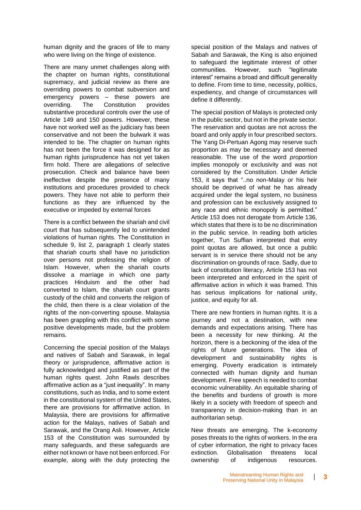human dignity and the graces of life to many who were living on the fringe of existence.

There are many unmet challenges along with the chapter on human rights, constitutional supremacy, and judicial review as there are overriding powers to combat subversion and emergency powers – these powers are overriding. The Constitution provides substantive procedural controls over the use of Article 149 and 150 powers. However, these have not worked well as the judiciary has been conservative and not been the bulwark it was intended to be. The chapter on human rights has not been the force it was designed for as human rights jurisprudence has not yet taken firm hold. There are allegations of selective prosecution. Check and balance have been ineffective despite the presence of many institutions and procedures provided to check powers. They have not able to perform their functions as they are influenced by the executive or impeded by external forces

There is a conflict between the shariah and civil court that has subsequently led to unintended violations of human rights. The Constitution in schedule 9, list 2, paragraph 1 clearly states that shariah courts shall have no jurisdiction over persons not professing the religion of Islam. However, when the shariah courts dissolve a marriage in which one party practices Hinduism and the other had converted to Islam, the shariah court grants custody of the child and converts the religion of the child, then there is a clear violation of the rights of the non-converting spouse. Malaysia has been grappling with this conflict with some positive developments made, but the problem remains.

Concerning the special position of the Malays and natives of Sabah and Sarawak, in legal theory or jurisprudence, affirmative action is fully acknowledged and justified as part of the human rights quest. John Rawls describes affirmative action as a "just inequality". In many constitutions, such as India, and to some extent in the constitutional system of the United States, there are provisions for affirmative action. In Malaysia, there are provisions for affirmative action for the Malays, natives of Sabah and Sarawak, and the Orang Asli. However, Article 153 of the Constitution was surrounded by many safeguards, and these safeguards are either not known or have not been enforced. For example, along with the duty protecting the

special position of the Malays and natives of Sabah and Sarawak, the King is also enjoined to safeguard the legitimate interest of other communities. However, such "legitimate interest" remains a broad and difficult generality to define. From time to time, necessity, politics, expediency, and change of circumstances will define it differently.

The special position of Malays is protected only in the public sector, but not in the private sector. The reservation and quotas are not across the board and only apply in four prescribed sectors. The Yang Di-Pertuan Agong may reserve such proportion as may be necessary and deemed reasonable. The use of the word *proportion* implies monopoly or exclusivity and was not considered by the Constitution. Under Article 153, it says that "..no non-Malay or his heir should be deprived of what he has already acquired under the legal system, no business and profession can be exclusively assigned to any race and ethnic monopoly is permitted." Article 153 does not derogate from Article 136, which states that there is to be no discrimination in the public service. In reading both articles together, Tun Suffian interpreted that entry point quotas are allowed, but once a public servant is in service there should not be any discrimination on grounds of race. Sadly, due to lack of constitution literacy, Article 153 has not been interpreted and enforced in the spirit of affirmative action in which it was framed. This has serious implications for national unity, justice, and equity for all.

There are new frontiers in human rights. It is a journey and not a destination, with new demands and expectations arising. There has been a necessity for new thinking. At the horizon, there is a beckoning of the idea of the rights of future generations. The idea of development and sustainability rights is emerging. Poverty eradication is intimately connected with human dignity and human development. Free speech is needed to combat economic vulnerability. An equitable sharing of the benefits and burdens of growth is more likely in a society with freedom of speech and transparency in decision-making than in an authoritarian setup.

New threats are emerging. The k-economy poses threats to the rights of workers. In the era of cyber information, the right to privacy faces extinction. Globalisation threatens local ownership of indigenous resources.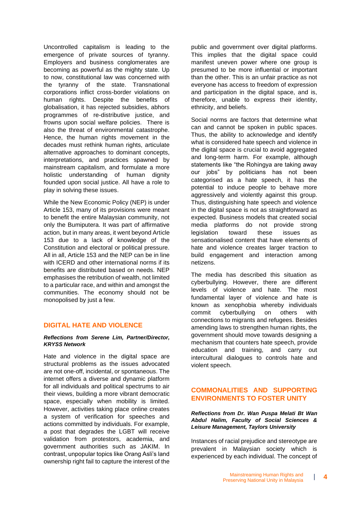Uncontrolled capitalism is leading to the emergence of private sources of tyranny. Employers and business conglomerates are becoming as powerful as the mighty state. Up to now, constitutional law was concerned with the tyranny of the state. Transnational corporations inflict cross-border violations on human rights. Despite the benefits of globalisation, it has rejected subsidies, abhors programmes of re-distributive justice, and frowns upon social welfare policies. There is also the threat of environmental catastrophe. Hence, the human rights movement in the decades must rethink human rights, articulate alternative approaches to dominant concepts, interpretations, and practices spawned by mainstream capitalism, and formulate a more holistic understanding of human dignity founded upon social justice. All have a role to play in solving these issues.

While the New Economic Policy (NEP) is under Article 153, many of its provisions were meant to benefit the entire Malaysian community, not only the Bumiputera. It was part of affirmative action, but in many areas, it went beyond Article 153 due to a lack of knowledge of the Constitution and electoral or political pressure. All in all, Article 153 and the NEP can be in line with ICERD and other international norms if its benefits are distributed based on needs. NEP emphasises the retribution of wealth, not limited to a particular race, and within and amongst the communities. The economy should not be monopolised by just a few.

## **DIGITAL HATE AND VIOLENCE**

### *Reflections from Serene Lim, Partner/Director, KRYSS Network*

Hate and violence in the digital space are structural problems as the issues advocated are not one-off, incidental, or spontaneous. The internet offers a diverse and dynamic platform for all individuals and political spectrums to air their views, building a more vibrant democratic space, especially when mobility is limited. However, activities taking place online creates a system of verification for speeches and actions committed by individuals. For example, a post that degrades the LGBT will receive validation from protestors, academia, and government authorities such as JAKIM. In contrast, unpopular topics like Orang Asli's land ownership right fail to capture the interest of the public and government over digital platforms. This implies that the digital space could manifest uneven power where one group is presumed to be more influential or important than the other. This is an unfair practice as not everyone has access to freedom of expression and participation in the digital space, and is, therefore, unable to express their identity, ethnicity, and beliefs.

Social norms are factors that determine what can and cannot be spoken in public spaces. Thus, the ability to acknowledge and identify what is considered hate speech and violence in the digital space is crucial to avoid aggregated and long-term harm. For example, although statements like "the Rohingya are taking away our jobs" by politicians has not been categorised as a hate speech, it has the potential to induce people to behave more aggressively and violently against this group. Thus, distinguishing hate speech and violence in the digital space is not as straightforward as expected. Business models that created social media platforms do not provide strong legislation toward these issues as sensationalised content that have elements of hate and violence creates larger traction to build engagement and interaction among netizens.

The media has described this situation as cyberbullying. However, there are different levels of violence and hate. The most fundamental layer of violence and hate is known as xenophobia whereby individuals commit cyberbullying on others with connections to migrants and refugees. Besides amending laws to strengthen human rights, the government should move towards designing a mechanism that counters hate speech, provide education and training, and carry out intercultural dialogues to controls hate and violent speech.

# **COMMONALITIES AND SUPPORTING ENVIRONMENTS TO FOSTER UNITY**

*Reflections from Dr. Wan Puspa Melati Bt Wan Abdul Halim, Faculty of Social Sciences & Leisure Management, Taylors University*

Instances of racial prejudice and stereotype are prevalent in Malaysian society which is experienced by each individual. The concept of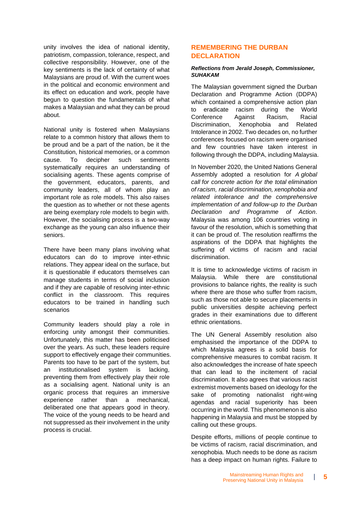unity involves the idea of national identity, patriotism, compassion, tolerance, respect, and collective responsibility. However, one of the key sentiments is the lack of certainty of what Malaysians are proud of. With the current woes in the political and economic environment and its effect on education and work, people have begun to question the fundamentals of what makes a Malaysian and what they can be proud about.

National unity is fostered when Malaysians relate to a common history that allows them to be proud and be a part of the nation, be it the Constitution, historical memories, or a common cause. To decipher such sentiments systematically requires an understanding of socialising agents. These agents comprise of the government, educators, parents, and community leaders, all of whom play an important role as role models. This also raises the question as to whether or not these agents are being exemplary role models to begin with. However, the socialising process is a two-way exchange as the young can also influence their seniors.

There have been many plans involving what educators can do to improve inter-ethnic relations. They appear ideal on the surface, but it is questionable if educators themselves can manage students in terms of social inclusion and if they are capable of resolving inter-ethnic conflict in the classroom. This requires educators to be trained in handling such scenarios

Community leaders should play a role in enforcing unity amongst their communities. Unfortunately, this matter has been politicised over the years. As such, these leaders require support to effectively engage their communities. Parents too have to be part of the system, but an institutionalised system is lacking, preventing them from effectively play their role as a socialising agent. National unity is an organic process that requires an immersive experience rather than a mechanical, deliberated one that appears good in theory. The voice of the young needs to be heard and not suppressed as their involvement in the unity process is crucial.

## **REMEMBERING THE DURBAN DECLARATION**

#### *Reflections from Jerald Joseph, Commissioner, SUHAKAM*

The Malaysian government signed the Durban Declaration and Programme Action (DDPA) which contained a comprehensive action plan to eradicate racism during the World Conference Against Racism, Racial Discrimination, Xenophobia and Related Intolerance in 2002. Two decades on, no further conferences focused on racism were organised and few countries have taken interest in following through the DDPA, including Malaysia.

In November 2020, the United Nations General Assembly adopted a resolution for *A global call for concrete action for the total elimination of racism, racial discrimination, xenophobia and related intolerance and the comprehensive implementation of and follow-up to the Durban Declaration and Programme of Action*. Malaysia was among 106 countries voting in favour of the resolution, which is something that it can be proud of. The resolution reaffirms the aspirations of the DDPA that highlights the suffering of victims of racism and racial discrimination.

It is time to acknowledge victims of racism in Malaysia. While there are constitutional provisions to balance rights, the reality is such where there are those who suffer from racism, such as those not able to secure placements in public universities despite achieving perfect grades in their examinations due to different ethnic orientations.

The UN General Assembly resolution also emphasised the importance of the DDPA to which Malaysia agrees is a solid basis for comprehensive measures to combat racism. It also acknowledges the increase of hate speech that can lead to the incitement of racial discrimination. It also agrees that various racist extremist movements based on ideology for the sake of promoting nationalist right-wing agendas and racial superiority has been occurring in the world. This phenomenon is also happening in Malaysia and must be stopped by calling out these groups.

Despite efforts, millions of people continue to be victims of racism, racial discrimination, and xenophobia. Much needs to be done as racism has a deep impact on human rights. Failure to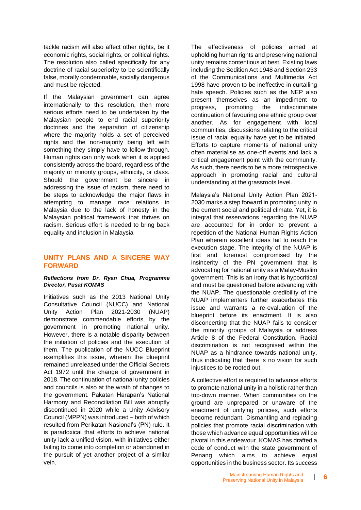tackle racism will also affect other rights, be it economic rights, social rights, or political rights. The resolution also called specifically for any doctrine of racial superiority to be scientifically false, morally condemnable, socially dangerous and must be rejected.

If the Malaysian government can agree internationally to this resolution, then more serious efforts need to be undertaken by the Malaysian people to end racial superiority doctrines and the separation of citizenship where the majority holds a set of perceived rights and the non-majority being left with something they simply have to follow through. Human rights can only work when it is applied consistently across the board, regardless of the majority or minority groups, ethnicity, or class. Should the government be sincere in addressing the issue of racism, there need to be steps to acknowledge the major flaws in attempting to manage race relations in Malaysia due to the lack of honesty in the Malaysian political framework that thrives on racism. Serious effort is needed to bring back equality and inclusion in Malaysia

## **UNITY PLANS AND A SINCERE WAY FORWARD**

#### *Reflections from Dr. Ryan Chua, Programme Director, Pusat KOMAS*

Initiatives such as the 2013 National Unity Consultative Council (NUCC) and National Unity Action Plan 2021-2030 (NUAP) demonstrate commendable efforts by the government in promoting national unity. However, there is a notable disparity between the initiation of policies and the execution of them. The publication of the NUCC Blueprint exemplifies this issue, wherein the blueprint remained unreleased under the Official Secrets Act 1972 until the change of government in 2018. The continuation of national unity policies and councils is also at the wrath of changes to the government. Pakatan Harapan's National Harmony and Reconciliation Bill was abruptly discontinued in 2020 while a Unity Advisory Council (MPPN) was introduced – both of which resulted from Perikatan Nasional's (PN) rule. It is paradoxical that efforts to achieve national unity lack a unified vision, with initiatives either failing to come into completion or abandoned in the pursuit of yet another project of a similar vein.

The effectiveness of policies aimed at upholding human rights and preserving national unity remains contentious at best. Existing laws including the Sedition Act 1948 and Section 233 of the Communications and Multimedia Act 1998 have proven to be ineffective in curtailing hate speech. Policies such as the NEP also present themselves as an impediment to progress, promoting the indiscriminate continuation of favouring one ethnic group over another. As for engagement with local communities, discussions relating to the critical issue of racial equality have yet to be initiated. Efforts to capture moments of national unity often materialise as one-off events and lack a critical engagement point with the community. As such, there needs to be a more retrospective approach in promoting racial and cultural understanding at the grassroots level.

Malaysia's National Unity Action Plan 2021- 2030 marks a step forward in promoting unity in the current social and political climate. Yet, it is integral that reservations regarding the NUAP are accounted for in order to prevent a repetition of the National Human Rights Action Plan wherein excellent ideas fail to reach the execution stage. The integrity of the NUAP is first and foremost compromised by the insincerity of the PN government that is advocating for national unity as a Malay-Muslim government. This is an irony that is hypocritical and must be questioned before advancing with the NUAP. The questionable credibility of the NUAP implementers further exacerbates this issue and warrants a re-evaluation of the blueprint before its enactment. It is also disconcerting that the NUAP fails to consider the minority groups of Malaysia or address Article 8 of the Federal Constitution. Racial discrimination is not recognised within the NUAP as a hindrance towards national unity, thus indicating that there is no vision for such injustices to be rooted out.

A collective effort is required to advance efforts to promote national unity in a holistic rather than top-down manner. When communities on the ground are unprepared or unaware of the enactment of unifying policies, such efforts become redundant. Dismantling and replacing policies that promote racial discrimination with those which advance equal opportunities will be pivotal in this endeavour. KOMAS has drafted a code of conduct with the state government of Penang which aims to achieve equal opportunities in the business sector. Its success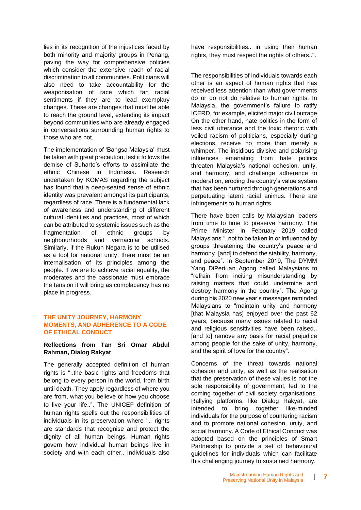lies in its recognition of the injustices faced by both minority and majority groups in Penang, paving the way for comprehensive policies which consider the extensive reach of racial discrimination to all communities. Politicians will also need to take accountability for the weaponisation of race which fan racial sentiments if they are to lead exemplary changes. These are changes that must be able to reach the ground level, extending its impact beyond communities who are already engaged in conversations surrounding human rights to those who are not.

The implementation of 'Bangsa Malaysia' must be taken with great precaution, lest it follows the demise of Suharto's efforts to assimilate the ethnic Chinese in Indonesia. Research undertaken by KOMAS regarding the subject has found that a deep-seated sense of ethnic identity was prevalent amongst its participants, regardless of race. There is a fundamental lack of awareness and understanding of different cultural identities and practices, most of which can be attributed to systemic issues such as the fragmentation of ethnic groups by neighbourhoods and vernacular schools. Similarly, if the Rukun Negara is to be utilised as a tool for national unity, there must be an internalisation of its principles among the people. If we are to achieve racial equality, the moderates and the passionate must embrace the tension it will bring as complacency has no place in progress.

## **THE UNITY JOURNEY, HARMONY MOMENTS, AND ADHERENCE TO A CODE OF ETHICAL CONDUCT**

## **Reflections from Tan Sri Omar Abdul Rahman, Dialog Rakyat**

The generally accepted definition of human rights is "..the basic rights and freedoms that belong to every person in the world, from birth until death. They apply regardless of where you are from, what you believe or how you choose to live your life..". The UNICEF definition of human rights spells out the responsibilities of individuals in its preservation where ".. rights are standards that recognise and protect the dignity of all human beings. Human rights govern how individual human beings live in society and with each other.. Individuals also

have responsibilities.. in using their human rights, they must respect the rights of others..".

The responsibilities of individuals towards each other is an aspect of human rights that has received less attention than what governments do or do not do relative to human rights. In Malaysia, the government's failure to ratify ICERD, for example, elicited major civil outrage. On the other hand, hate politics in the form of less civil utterance and the toxic rhetoric with veiled racism of politicians, especially during elections, receive no more than merely a whimper. The insidious divisive and polarising influences emanating from hate politics threaten Malaysia's national cohesion, unity, and harmony, and challenge adherence to moderation, eroding the country's value system that has been nurtured through generations and perpetuating latent racial animus. There are infringements to human rights.

There have been calls by Malaysian leaders from time to time to preserve harmony. The Prime Minister in February 2019 called Malaysians "..not to be taken in or influenced by groups threatening the country's peace and harmony..[and] to defend the stability, harmony, and peace". In September 2019, The DYMM Yang DiPertuan Agong called Malaysians to "refrain from inciting misunderstanding by raising matters that could undermine and destroy harmony in the country". The Agong during his 2020 new year's messages reminded Malaysians to "maintain unity and harmony [that Malaysia has] enjoyed over the past 62 years, because many issues related to racial and religious sensitivities have been raised.. [and to] remove any basis for racial prejudice among people for the sake of unity, harmony, and the spirit of love for the country".

Concerns of the threat towards national cohesion and unity, as well as the realisation that the preservation of these values is not the sole responsibility of government, led to the coming together of civil society organisations. Rallying platforms, like Dialog Rakyat, are intended to bring together like-minded individuals for the purpose of countering racism and to promote national cohesion, unity, and social harmony. A Code of Ethical Conduct was adopted based on the principles of Smart Partnership to provide a set of behavioural guidelines for individuals which can facilitate this challenging journey to sustained harmony.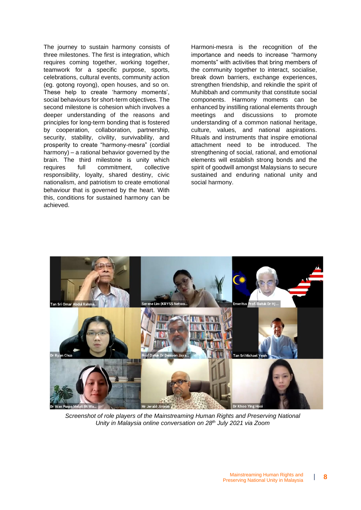The journey to sustain harmony consists of three milestones. The first is integration, which requires coming together, working together, teamwork for a specific purpose, sports, celebrations, cultural events, community action (eg. gotong royong), open houses, and so on. These help to create 'harmony moments', social behaviours for short-term objectives. The second milestone is cohesion which involves a deeper understanding of the reasons and principles for long-term bonding that is fostered by cooperation, collaboration, partnership, security, stability, civility, survivability, and prosperity to create "harmony-mesra" (cordial harmony) – a rational behavior governed by the brain. The third milestone is unity which requires full commitment, collective responsibility, loyalty, shared destiny, civic nationalism, and patriotism to create emotional behaviour that is governed by the heart. With this, conditions for sustained harmony can be achieved.

Harmoni-mesra is the recognition of the importance and needs to increase "harmony moments" with activities that bring members of the community together to interact, socialise, break down barriers, exchange experiences, strengthen friendship, and rekindle the spirit of Muhibbah and community that constitute social components. Harmony moments can be enhanced by instilling rational elements through meetings and discussions to promote understanding of a common national heritage, culture, values, and national aspirations. Rituals and instruments that inspire emotional attachment need to be introduced. The strengthening of social, rational, and emotional elements will establish strong bonds and the spirit of goodwill amongst Malaysians to secure sustained and enduring national unity and social harmony.



*Screenshot of role players of the Mainstreaming Human Rights and Preserving National Unity in Malaysia online conversation on 28th July 2021 via Zoom*